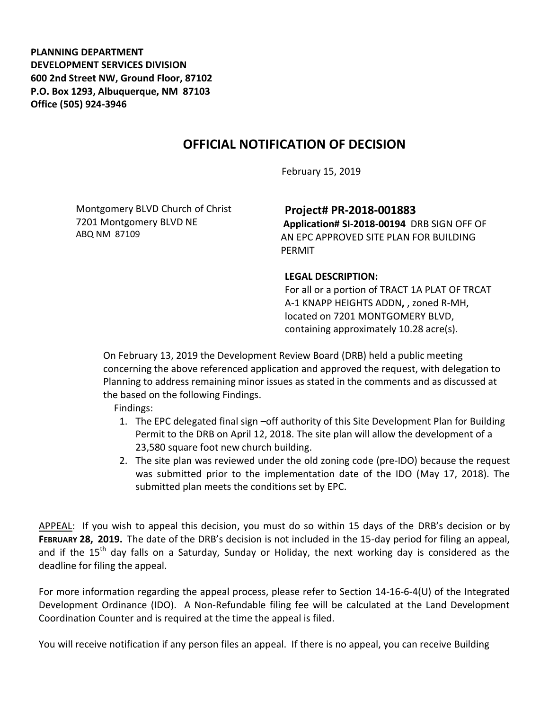**PLANNING DEPARTMENT DEVELOPMENT SERVICES DIVISION 600 2nd Street NW, Ground Floor, 87102 P.O. Box 1293, Albuquerque, NM 87103 Office (505) 924-3946** 

## **OFFICIAL NOTIFICATION OF DECISION**

February 15, 2019

Montgomery BLVD Church of Christ 7201 Montgomery BLVD NE ABQ NM 87109

**Project# PR-2018-001883**

**Application# SI-2018-00194** DRB SIGN OFF OF AN EPC APPROVED SITE PLAN FOR BUILDING PERMIT

## **LEGAL DESCRIPTION:**

For all or a portion of TRACT 1A PLAT OF TRCAT A-1 KNAPP HEIGHTS ADDN**,** , zoned R-MH, located on 7201 MONTGOMERY BLVD, containing approximately 10.28 acre(s).

On February 13, 2019 the Development Review Board (DRB) held a public meeting concerning the above referenced application and approved the request, with delegation to Planning to address remaining minor issues as stated in the comments and as discussed at the based on the following Findings.

Findings:

- 1. The EPC delegated final sign –off authority of this Site Development Plan for Building Permit to the DRB on April 12, 2018. The site plan will allow the development of a 23,580 square foot new church building.
- 2. The site plan was reviewed under the old zoning code (pre-IDO) because the request was submitted prior to the implementation date of the IDO (May 17, 2018). The submitted plan meets the conditions set by EPC.

APPEAL: If you wish to appeal this decision, you must do so within 15 days of the DRB's decision or by **FEBRUARY 28, 2019.** The date of the DRB's decision is not included in the 15-day period for filing an appeal, and if the  $15<sup>th</sup>$  day falls on a Saturday, Sunday or Holiday, the next working day is considered as the deadline for filing the appeal.

For more information regarding the appeal process, please refer to Section 14-16-6-4(U) of the Integrated Development Ordinance (IDO). A Non-Refundable filing fee will be calculated at the Land Development Coordination Counter and is required at the time the appeal is filed.

You will receive notification if any person files an appeal. If there is no appeal, you can receive Building